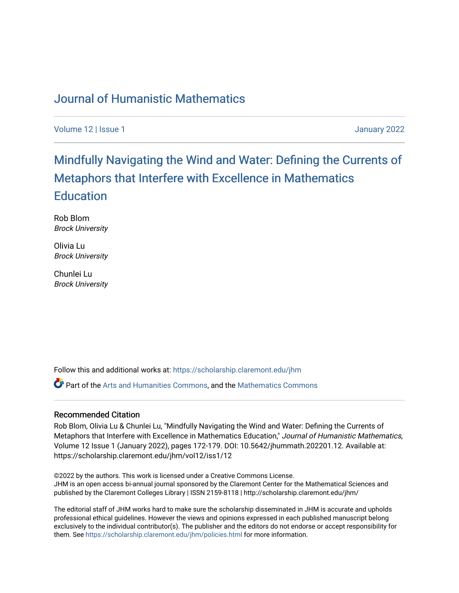## [Journal of Humanistic Mathematics](https://scholarship.claremont.edu/jhm)

[Volume 12](https://scholarship.claremont.edu/jhm/vol12) | [Issue 1 January 2022](https://scholarship.claremont.edu/jhm/vol12/iss1) 

# [Mindfully Navigating the Wind and Water: Defining the Currents of](https://scholarship.claremont.edu/jhm/vol12/iss1/12) [Metaphors that Interfere with Excellence in Mathematics](https://scholarship.claremont.edu/jhm/vol12/iss1/12)  **Education**

Rob Blom Brock University

Olivia Lu Brock University

Chunlei Lu Brock University

Follow this and additional works at: [https://scholarship.claremont.edu/jhm](https://scholarship.claremont.edu/jhm?utm_source=scholarship.claremont.edu%2Fjhm%2Fvol12%2Fiss1%2F12&utm_medium=PDF&utm_campaign=PDFCoverPages)

**P** Part of the [Arts and Humanities Commons,](http://network.bepress.com/hgg/discipline/438?utm_source=scholarship.claremont.edu%2Fjhm%2Fvol12%2Fiss1%2F12&utm_medium=PDF&utm_campaign=PDFCoverPages) and the Mathematics Commons

## Recommended Citation

Rob Blom, Olivia Lu & Chunlei Lu, "Mindfully Navigating the Wind and Water: Defining the Currents of Metaphors that Interfere with Excellence in Mathematics Education," Journal of Humanistic Mathematics, Volume 12 Issue 1 (January 2022), pages 172-179. DOI: 10.5642/jhummath.202201.12. Available at: https://scholarship.claremont.edu/jhm/vol12/iss1/12

©2022 by the authors. This work is licensed under a Creative Commons License. JHM is an open access bi-annual journal sponsored by the Claremont Center for the Mathematical Sciences and published by the Claremont Colleges Library | ISSN 2159-8118 | http://scholarship.claremont.edu/jhm/

The editorial staff of JHM works hard to make sure the scholarship disseminated in JHM is accurate and upholds professional ethical guidelines. However the views and opinions expressed in each published manuscript belong exclusively to the individual contributor(s). The publisher and the editors do not endorse or accept responsibility for them. See<https://scholarship.claremont.edu/jhm/policies.html> for more information.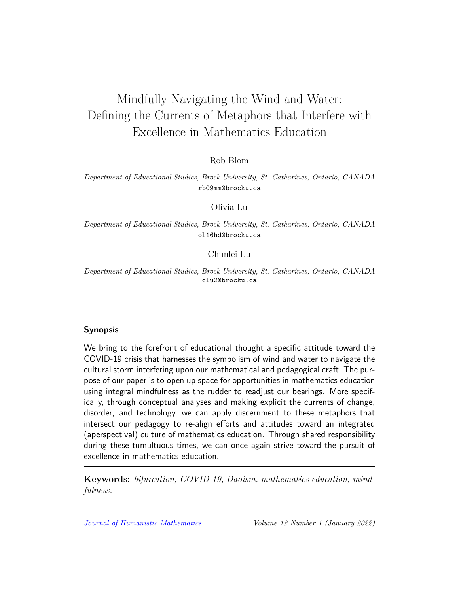## Mindfully Navigating the Wind and Water: Defining the Currents of Metaphors that Interfere with Excellence in Mathematics Education

Rob Blom

*Department of Educational Studies, Brock University, St. Catharines, Ontario, CANADA* rb09mm@brocku.ca

Olivia Lu

*Department of Educational Studies, Brock University, St. Catharines, Ontario, CANADA* ol16hd@brocku.ca

Chunlei Lu

*Department of Educational Studies, Brock University, St. Catharines, Ontario, CANADA* clu2@brocku.ca

## **Synopsis**

We bring to the forefront of educational thought a specific attitude toward the COVID-19 crisis that harnesses the symbolism of wind and water to navigate the cultural storm interfering upon our mathematical and pedagogical craft. The purpose of our paper is to open up space for opportunities in mathematics education using integral mindfulness as the rudder to readjust our bearings. More specifically, through conceptual analyses and making explicit the currents of change, disorder, and technology, we can apply discernment to these metaphors that intersect our pedagogy to re-align efforts and attitudes toward an integrated (aperspectival) culture of mathematics education. Through shared responsibility during these tumultuous times, we can once again strive toward the pursuit of excellence in mathematics education.

**Keywords:** *bifurcation, COVID-19, Daoism, mathematics education, mindfulness.*

*[Journal of Humanistic Mathematics](http://scholarship.claremont.edu/jhm/) Volume 12 Number 1 (January 2022)*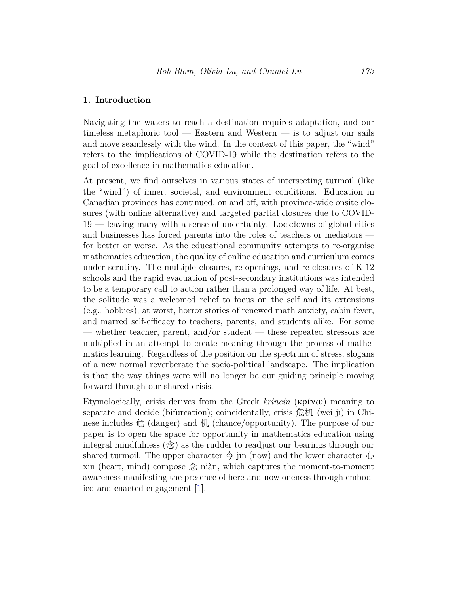### **1. Introduction**

Navigating the waters to reach a destination requires adaptation, and our timeless metaphoric tool — Eastern and Western — is to adjust our sails and move seamlessly with the wind. In the context of this paper, the "wind" refers to the implications of COVID-19 while the destination refers to the goal of excellence in mathematics education.

At present, we find ourselves in various states of intersecting turmoil (like the "wind") of inner, societal, and environment conditions. Education in Canadian provinces has continued, on and off, with province-wide onsite closures (with online alternative) and targeted partial closures due to COVID-19 — leaving many with a sense of uncertainty. Lockdowns of global cities and businesses has forced parents into the roles of teachers or mediators for better or worse. As the educational community attempts to re-organise mathematics education, the quality of online education and curriculum comes under scrutiny. The multiple closures, re-openings, and re-closures of K-12 schools and the rapid evacuation of post-secondary institutions was intended to be a temporary call to action rather than a prolonged way of life. At best, the solitude was a welcomed relief to focus on the self and its extensions (e.g., hobbies); at worst, horror stories of renewed math anxiety, cabin fever, and marred self-efficacy to teachers, parents, and students alike. For some — whether teacher, parent, and/or student — these repeated stressors are multiplied in an attempt to create meaning through the process of mathematics learning. Regardless of the position on the spectrum of stress, slogans of a new normal reverberate the socio-political landscape. The implication is that the way things were will no longer be our guiding principle moving forward through our shared crisis.

Etymologically, crisis derives from the Greek *krinein* (κρίνω) meaning to separate and decide (bifurcation); coincidentally, crisis 危机 (wēi jī) in Chinese includes 危 (danger) and 机 (chance/opportunity). The purpose of our paper is to open the space for opportunity in mathematics education using integral mindfulness (念) as the rudder to readjust our bearings through our shared turmoil. The upper character  $\hat{\varphi}$  jin (now) and the lower character  $\hat{\psi}$ xīn (heart, mind) compose 念 niàn, which captures the moment-to-moment awareness manifesting the presence of here-and-now oneness through embodied and enacted engagement [[1\]](#page-7-0).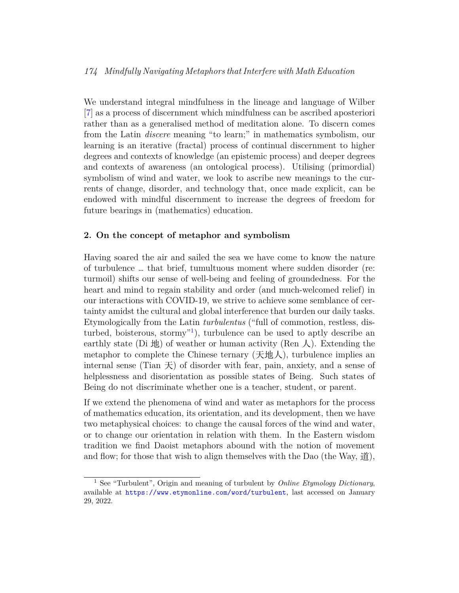## *174 Mindfully Navigating Metaphors that Interfere with Math Education*

We understand integral mindfulness in the lineage and language of Wilber [\[7\]](#page-7-1) as a process of discernment which mindfulness can be ascribed aposteriori rather than as a generalised method of meditation alone. To discern comes from the Latin *discere* meaning "to learn;" in mathematics symbolism, our learning is an iterative (fractal) process of continual discernment to higher degrees and contexts of knowledge (an epistemic process) and deeper degrees and contexts of awareness (an ontological process). Utilising (primordial) symbolism of wind and water, we look to ascribe new meanings to the currents of change, disorder, and technology that, once made explicit, can be endowed with mindful discernment to increase the degrees of freedom for future bearings in (mathematics) education.

## **2. On the concept of metaphor and symbolism**

Having soared the air and sailed the sea we have come to know the nature of turbulence … that brief, tumultuous moment where sudden disorder (re: turmoil) shifts our sense of well-being and feeling of groundedness. For the heart and mind to regain stability and order (and much-welcomed relief) in our interactions with COVID-19, we strive to achieve some semblance of certainty amidst the cultural and global interference that burden our daily tasks. Etymologically from the Latin *turbulentus* ("full of commotion, restless, disturbed, boisterous, stormy"[1](#page-3-0) ), turbulence can be used to aptly describe an earthly state (Di  $\mathcal{H}$ ) of weather or human activity (Ren  $\mathcal{L}$ ). Extending the metaphor to complete the Chinese ternary  $(\text{天} \& \text{L})$ , turbulence implies an internal sense (Tian  $\pm$ ) of disorder with fear, pain, anxiety, and a sense of helplessness and disorientation as possible states of Being. Such states of Being do not discriminate whether one is a teacher, student, or parent.

If we extend the phenomena of wind and water as metaphors for the process of mathematics education, its orientation, and its development, then we have two metaphysical choices: to change the causal forces of the wind and water, or to change our orientation in relation with them. In the Eastern wisdom tradition we find Daoist metaphors abound with the notion of movement and flow; for those that wish to align themselves with the Dao (the Way,  $\hat{\mathbf{H}}$ ),

<span id="page-3-0"></span><sup>1</sup> See "Turbulent", Origin and meaning of turbulent by *Online Etymology Dictionary*, available at <https://www.etymonline.com/word/turbulent>, last accessed on January 29, 2022.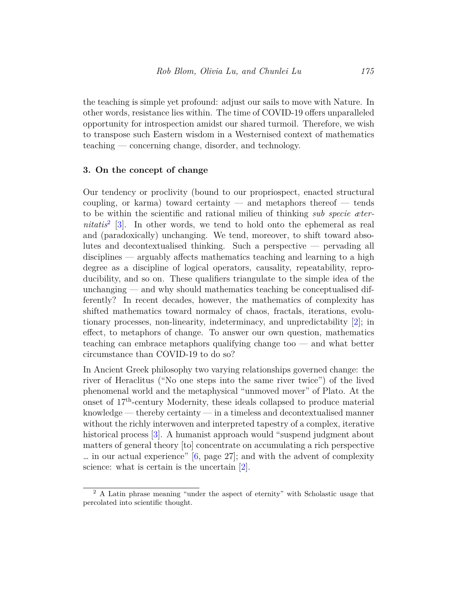the teaching is simple yet profound: adjust our sails to move with Nature. In other words, resistance lies within. The time of COVID-19 offers unparalleled opportunity for introspection amidst our shared turmoil. Therefore, we wish to transpose such Eastern wisdom in a Westernised context of mathematics teaching — concerning change, disorder, and technology.

#### **3. On the concept of change**

Our tendency or proclivity (bound to our propriospect, enacted structural coupling, or karma) toward certainty — and metaphors thereof — tends to be within the scientific and rational milieu of thinking *sub specie æternitatis*[2](#page-4-0) [[3\]](#page-7-2). In other words, we tend to hold onto the ephemeral as real and (paradoxically) unchanging. We tend, moreover, to shift toward absolutes and decontextualised thinking. Such a perspective — pervading all disciplines — arguably affects mathematics teaching and learning to a high degree as a discipline of logical operators, causality, repeatability, reproducibility, and so on. These qualifiers triangulate to the simple idea of the unchanging  $-$  and why should mathematics teaching be conceptualised differently? In recent decades, however, the mathematics of complexity has shifted mathematics toward normalcy of chaos, fractals, iterations, evolutionary processes, non-linearity, indeterminacy, and unpredictability [\[2\]](#page-7-3); in effect, to metaphors of change. To answer our own question, mathematics teaching can embrace metaphors qualifying change too — and what better circumstance than COVID-19 to do so?

In Ancient Greek philosophy two varying relationships governed change: the river of Heraclitus ("No one steps into the same river twice") of the lived phenomenal world and the metaphysical "unmoved mover" of Plato. At the onset of 17th-century Modernity, these ideals collapsed to produce material knowledge — thereby certainty — in a timeless and decontextualised manner without the richly interwoven and interpreted tapestry of a complex, iterative historical process [[3\]](#page-7-2). A humanist approach would "suspend judgment about matters of general theory [to] concentrate on accumulating a rich perspective ... in our actual experience"  $[6, \text{ page } 27]$  $[6, \text{ page } 27]$  $[6, \text{ page } 27]$ ; and with the advent of complexity science: what is certain is the uncertain [[2\]](#page-7-3).

<span id="page-4-0"></span><sup>2</sup> A Latin phrase meaning "under the aspect of eternity" with Scholastic usage that percolated into scientific thought.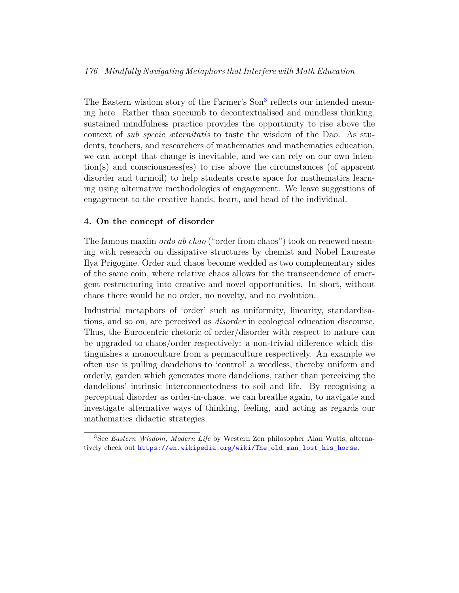## *176 Mindfully Navigating Metaphors that Interfere with Math Education*

The Eastern wisdom story of the Farmer's Son<sup>[3](#page-5-0)</sup> reflects our intended meaning here. Rather than succumb to decontextualised and mindless thinking, sustained mindfulness practice provides the opportunity to rise above the context of *sub specie æternitatis* to taste the wisdom of the Dao. As students, teachers, and researchers of mathematics and mathematics education, we can accept that change is inevitable, and we can rely on our own intention(s) and consciousness(es) to rise above the circumstances (of apparent disorder and turmoil) to help students create space for mathematics learning using alternative methodologies of engagement. We leave suggestions of engagement to the creative hands, heart, and head of the individual.

## **4. On the concept of disorder**

The famous maxim *ordo ab chao* ("order from chaos") took on renewed meaning with research on dissipative structures by chemist and Nobel Laureate Ilya Prigogine. Order and chaos become wedded as two complementary sides of the same coin, where relative chaos allows for the transcendence of emergent restructuring into creative and novel opportunities. In short, without chaos there would be no order, no novelty, and no evolution.

Industrial metaphors of 'order' such as uniformity, linearity, standardisations, and so on, are perceived as *disorder* in ecological education discourse. Thus, the Eurocentric rhetoric of order/disorder with respect to nature can be upgraded to chaos/order respectively: a non-trivial difference which distinguishes a monoculture from a permaculture respectively. An example we often use is pulling dandelions to 'control' a weedless, thereby uniform and orderly, garden which generates more dandelions, rather than perceiving the dandelions' intrinsic interconnectedness to soil and life. By recognising a perceptual disorder as order-in-chaos, we can breathe again, to navigate and investigate alternative ways of thinking, feeling, and acting as regards our mathematics didactic strategies.

<span id="page-5-0"></span><sup>3</sup>See *Eastern Wisdom, Modern Life* by Western Zen philosopher Alan Watts; alternatively check out [https://en.wikipedia.org/wiki/The\\_old\\_man\\_lost\\_his\\_horse](https://en.wikipedia.org/wiki/The_old_man_lost_his_horse).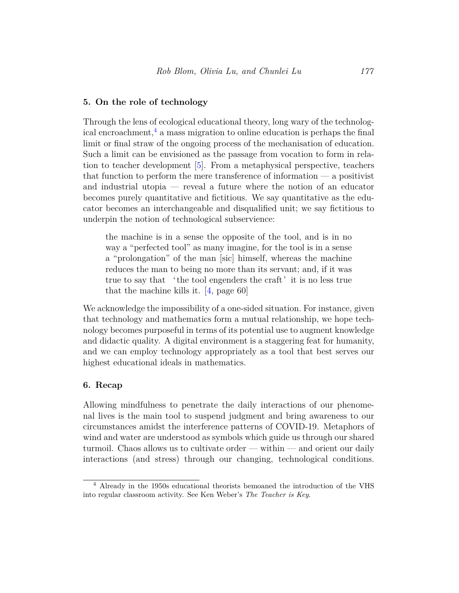## **5. On the role of technology**

Through the lens of ecological educational theory, long wary of the technological encroachment, $4$  a mass migration to online education is perhaps the final limit or final straw of the ongoing process of the mechanisation of education. Such a limit can be envisioned as the passage from vocation to form in relation to teacher development [[5](#page-7-5)]. From a metaphysical perspective, teachers that function to perform the mere transference of information — a positivist and industrial utopia — reveal a future where the notion of an educator becomes purely quantitative and fictitious. We say quantitative as the educator becomes an interchangeable and disqualified unit; we say fictitious to underpin the notion of technological subservience:

the machine is in a sense the opposite of the tool, and is in no way a "perfected tool" as many imagine, for the tool is in a sense a "prolongation" of the man [sic] himself, whereas the machine reduces the man to being no more than its servant; and, if it was true to say that 'the tool engenders the craft' it is no less true that the machine kills it.  $[4, \text{page } 60]$ 

We acknowledge the impossibility of a one-sided situation. For instance, given that technology and mathematics form a mutual relationship, we hope technology becomes purposeful in terms of its potential use to augment knowledge and didactic quality. A digital environment is a staggering feat for humanity, and we can employ technology appropriately as a tool that best serves our highest educational ideals in mathematics.

## **6. Recap**

Allowing mindfulness to penetrate the daily interactions of our phenomenal lives is the main tool to suspend judgment and bring awareness to our circumstances amidst the interference patterns of COVID-19. Metaphors of wind and water are understood as symbols which guide us through our shared turmoil. Chaos allows us to cultivate order — within — and orient our daily interactions (and stress) through our changing, technological conditions.

<span id="page-6-0"></span><sup>4</sup> Already in the 1950s educational theorists bemoaned the introduction of the VHS into regular classroom activity. See Ken Weber's *The Teacher is Key*.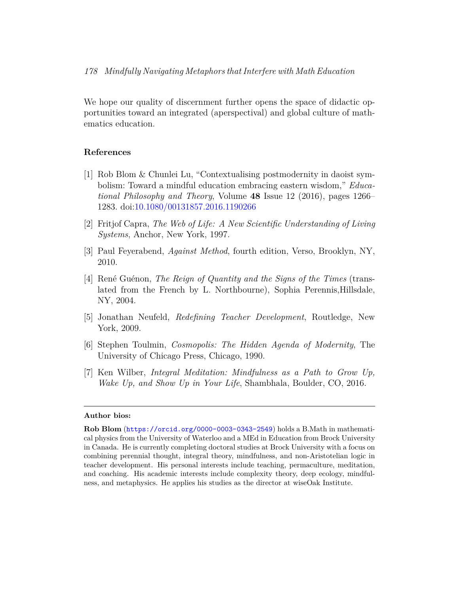We hope our quality of discernment further opens the space of didactic opportunities toward an integrated (aperspectival) and global culture of mathematics education.

## **References**

- <span id="page-7-0"></span>[1] Rob Blom & Chunlei Lu, "Contextualising postmodernity in daoist symbolism: Toward a mindful education embracing eastern wisdom," *Educational Philosophy and Theory*, Volume **48** Issue 12 (2016), pages 1266– 1283. doi:[10.1080/00131857.2016.1190266](http://dx.doi.org/10.1080/00131857.2016.1190266)
- <span id="page-7-3"></span>[2] Fritjof Capra, *The Web of Life: A New Scientific Understanding of Living Systems*, Anchor, New York, 1997.
- <span id="page-7-2"></span>[3] Paul Feyerabend, *Against Method*, fourth edition, Verso, Brooklyn, NY, 2010.
- <span id="page-7-6"></span>[4] René Guénon, *The Reign of Quantity and the Signs of the Times* (translated from the French by L. Northbourne), Sophia Perennis,Hillsdale, NY, 2004.
- <span id="page-7-5"></span>[5] Jonathan Neufeld, *Redefining Teacher Development*, Routledge, New York, 2009.
- <span id="page-7-4"></span>[6] Stephen Toulmin, *Cosmopolis: The Hidden Agenda of Modernity*, The University of Chicago Press, Chicago, 1990.
- <span id="page-7-1"></span>[7] Ken Wilber, *Integral Meditation: Mindfulness as a Path to Grow Up, Wake Up, and Show Up in Your Life*, Shambhala, Boulder, CO, 2016.

#### **Author bios:**

**Rob Blom** (<https://orcid.org/0000-0003-0343-2549>) holds a B.Math in mathematical physics from the University of Waterloo and a MEd in Education from Brock University in Canada. He is currently completing doctoral studies at Brock University with a focus on combining perennial thought, integral theory, mindfulness, and non-Aristotelian logic in teacher development. His personal interests include teaching, permaculture, meditation, and coaching. His academic interests include complexity theory, deep ecology, mindfulness, and metaphysics. He applies his studies as the director at wiseOak Institute.